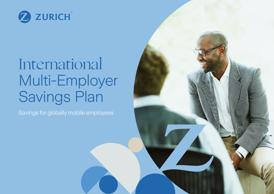

## International Multi-Employer Savings Plan

Savings for globally mobile employees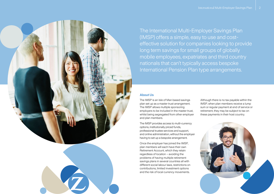

The International Multi-Employer Savings Plan (IMSP) offers a simple, easy to use and costeffective solution for companies looking to provide long term savings for small groups of globally mobile employees, expatriates and third country nationals that can't typically access bespoke International Pension Plan type arrangements.

#### **About Us**

The IMSP is an Isle of Man based savings plan set up as a master trust arrangement. The IMSP allows multiple sponsoring employers to be included in the master trust, whilst being segregated from other employer and plan members.

The IMSP provides access to multi-currency options, institutionally priced funds, professional trustee services and support, and online administration, without the employer having to set up a bespoke arrangement.

Once the employer has joined the IMSP, plan members will each have their own Retirement Account, which they retain regardless of location – avoiding the problems of having multiple retirement savings plans in several countries all with different social labour laws, restrictions on contributions, limited investment options and the risk of local currency movements.

Although there is no tax payable within the IMSP, when plan members receive a lump sum or regular payment at end of service or retirement, they may be subject to tax on these payments in their host country.

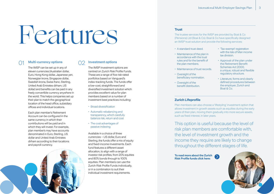# Features

## **Multi-currency options** 01 02

The IMSP can be set up in any of eleven currencies (Australian dollar, Euro, Hong Kong dollar, Japanese yen, Norwegian krone, Singapore dollar, Swedish krona, Swiss franc, Sterling, United Arab Emirates dirham, US dollar) and benefits can be paid in any freely convertible currency anywhere in the world. This helps companies set up their plan to match the geographical location of the head office, subsidiary offices and individual locations.

Each plan member's Retirement Account can be configured in the same currency in which their contributions will be paid and in which they will invest. For example, plan member's may have accounts denominated in Euro, Sterling, US dollar and United Arab Emirates dirham according to their locations and payroll currency.

### **Investment options**

The IMSP investment options are centred on Zurich Risk Profile Funds. These are a range of five risk-rated portfolios based on Vanguard's index-tracking funds. The funds offer a low-cost, straightforward and diversified investment solution which provides excellent value for plan members based on a number of investment best practices including:

- Broad diversification
- Automatic rebalancing and transparency, which carefully balance risk, return and cost
- The cost advantages of passive indexing

Available in a choice of three currencies – US dollar, Euro and Sterling, the funds offer a mix of equity and fixed-income investments. Each fund features a different asset allocation, to align with a range of investor risk profiles, from 20% equities and 80% bonds through to 100% equities. Plan members can use the Zurich Risk Profile Funds individually, or in a combination to suit their individual investment requirements.

#### **Trust**

The trustee services for the IMSP are provided by Boal & Co (Pensions) Ltd (Boal & Co). Boal & Co have specifically designed an IMSP trust solution and provide the following services:

- A standard trust deed.
- Maintenance of the plan in accordance with the trust rules and for the benefit of the plan members.
- Maintenance of trust records.
- Oversight of the beneficiary nomination.
- Oversight of the benefit distribution.
- 'Tax-exempt' registration with the Isle of Man income tax division.
- Approval of the plan under the Retirement Benefit Schemes Act 2000, a unique, robust and flexible regulatory structure.
- Literature, forms and clearly defined procedures between the employer, Zurich and Boal & Co.

### **Zurich Lifeprofile**

Plan members can also choose a 'lifestyling' investment option that allows investment in growth assets such as equities during the early years of their plan, moving them gradually into more secure assets, such as fixed interest, in later years.

This option is useful because the level of risk plan members are comfortable with, the level of investment growth and the income they require are likely to change throughout the different stages of life.

**[To read more about the Zurich](https://www.zurichinternational.com/risk-profile-funds)**   $\sum$ **Risk Profile funds click here:** 

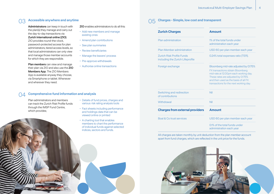## **Accessible anywhere and anytime** 03

Administrators can keep in touch with the plan(s) they manage and carry out the day-to-day transactions via Zurich International online (ZIO). ZIO provides round-the-clock, password-protected access for plan administrators, tiered access levels, so that local administrators can only view and manage those member accounts for which they are responsible.

Plan members can view and manage their plan via ZIO and also use the ZIO Members App. The ZIO Members App is available anyway they choose, via Smartphone or tablet. Whenever and wherever they need.

ZIO enables administrators to do all this:

- Add new members and manage existing ones
- Amend plan contributions
- See plan summaries
- Review beneficiaries
- Manage the leavers' process
- Pre-approve withdrawals
- Authorise online transactions

## **Comprehensive fund information and analysis** 04

Plan administrators and members can track the Zurich Risk Profile funds through the IMSP Fund Centre, which provides;

- Details of fund prices, charges and various risk rating analysis tools
- Fact sheets including performance and holdings data that can be viewed online or printed
- A charting tool that enables members to chart the performance of individual funds against selected indices, sectors and funds.

|  | $\bigcirc$ Charges - Simple, low cost and transparent |  |  |  |  |  |
|--|-------------------------------------------------------|--|--|--|--|--|
|--|-------------------------------------------------------|--|--|--|--|--|

| <b>Zurich Charges</b>                                         | <b>Amount</b>                                                                                                                                                                                                                              |  |  |  |
|---------------------------------------------------------------|--------------------------------------------------------------------------------------------------------------------------------------------------------------------------------------------------------------------------------------------|--|--|--|
| Plan administration                                           | 1% of the total funds under<br>administration each year                                                                                                                                                                                    |  |  |  |
| <b>Plan Member administration</b>                             | USD 60 per plan member each year                                                                                                                                                                                                           |  |  |  |
| Zurich Risk Profile Funds<br>including the Zurich Lifeprofile | 0.24% total expenses ratio (TER).                                                                                                                                                                                                          |  |  |  |
| Foreign exchange                                              | Bloomberg mid-rate adjusted by 0.175%<br>FX transactions obtain Bloomberg<br>mid-rate at 12.00pm each working day.<br>These rates are adjusted by 0.175%<br>and then used as the basis of all FX<br>transactions for the next working day. |  |  |  |
| Switching and redirection<br>of contributions                 | Nil                                                                                                                                                                                                                                        |  |  |  |
| Withdrawal                                                    | Nil                                                                                                                                                                                                                                        |  |  |  |
| <b>Charges from external providers</b>                        | <b>Amount</b>                                                                                                                                                                                                                              |  |  |  |
| <b>Boal &amp; Co trust services</b>                           | USD 60 per plan member each year                                                                                                                                                                                                           |  |  |  |
|                                                               | 0.1% of the total funds under                                                                                                                                                                                                              |  |  |  |

All charges are taken monthly by unit deduction from the plan member account apart from fund charges, which are reflected in the unit price for the funds.



administration each year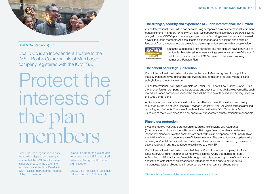

## **Boal & Co (Pensions) Ltd**

Boal & Co is an Independent Trustee to the IMSP. Boal & Co are an Isle of Man based company registered with the IOMFSA.

## Protect the interests of the plan members

Boal & Co has a legal responsibility to provide independent oversight, ensure that the IMSP is administered in accordance with the governing regulations and the Trust Deed and IMSP Rules and protect the interests of the plan members.

In addition, under the Isle of Man regulations, the IMSP is required to have a Recognised Scheme **Administrator** 

Boal & Co, a Professional Schemes Administrator, also fulfils this role.

## **The strength, security and experience of Zurich International Life Limited**

Zurich International Life Limited has been helping companies provide international retirement benefits for their members for nearly 40 years. We currently have over 800 corporate savings plan, with over 100,000 plan members, ranging in size from single member plans to those with several thousand members. As a result of this experience, and by seeking and acting on feedback from our customers, we are able to develop practical solutions that people value.



Since the launch of our first corporate savings plan, we have continued to provide flexible, tailored retirement savings solutions to some of the world's best-known companies. The IMSP is based on the award-winning International Pension Plan.

### **The benefit of our legal jurisdiction**

Zurich International Life Limited is located in the Isle of Man, recognised for its political stability, transparency and financial supervision, including strong regulatory controls and policyholder protection measures.

Zurich International Life Limited is registered under UAE Federal Law Number 6 of 2007 as a branch of foreign company, and its products and activities in the UAE are governed by such law. All insurance companies licensed in the UAE have to be authorised and are regulated by the UAE Central Bank.

All life assurance companies based on the Island have to be authorised and are closely regulated by the Isle of Man Financial Services Authority (IOMFSA), which imposes detailed reporting requirements. The Isle of Man is included within the OECD's 'white list' of jurisdictions that are deemed to be co-operative, transparent and internationally responsible.

### **Planholder protection**

Investors receive worldwide protection through the Isle of Man's Life Assurance (Compensation of Policyholders) Regulations 1991 regardless of residency. In the event of insolvency, planholders of the company are entitled to claim compensation of up to 90% of the liability of their plan under the Isle of Man regulations. The protection only applies to the solvency of Zurich International Life Limited and does not extend to protecting the value of assets held within any investment choices linked to the IMSP.

Zurich International Life Limited is a subsidiary of Zurich Insurance Company Ltd. As at November 2021 Zurich Insurance Company Ltd is rated AA by Standard and Poors\*. A Standard and Poor's insurer financial strength rating is a current opinion of the financial security characteristics of an organisation with respect to its ability to pay under its insurance policies and contracts in accordance with their terms and conditions.

\*Source:<https://www.zurich.com/en/investor-relations/ratings>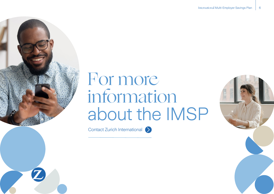## For more information about the IMSP

[Contact Zurich International](https://www.zurichinternational.com/contact/corporatesavings)  $\sum$